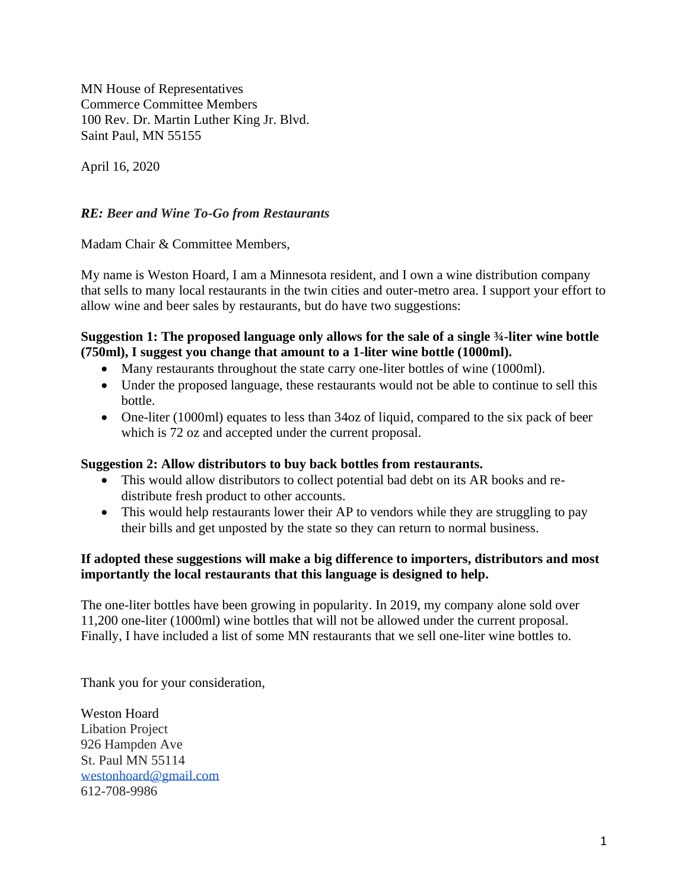MN House of Representatives Commerce Committee Members 100 Rev. Dr. Martin Luther King Jr. Blvd. Saint Paul, MN 55155

April 16, 2020

# *RE: Beer and Wine To-Go from Restaurants*

Madam Chair & Committee Members,

My name is Weston Hoard, I am a Minnesota resident, and I own a wine distribution company that sells to many local restaurants in the twin cities and outer-metro area. I support your effort to allow wine and beer sales by restaurants, but do have two suggestions:

### **Suggestion 1: The proposed language only allows for the sale of a single ¾-liter wine bottle (750ml), I suggest you change that amount to a 1-liter wine bottle (1000ml).**

- Many restaurants throughout the state carry one-liter bottles of wine (1000ml).
- Under the proposed language, these restaurants would not be able to continue to sell this bottle.
- One-liter (1000ml) equates to less than 34oz of liquid, compared to the six pack of beer which is 72 oz and accepted under the current proposal.

#### **Suggestion 2: Allow distributors to buy back bottles from restaurants.**

- This would allow distributors to collect potential bad debt on its AR books and redistribute fresh product to other accounts.
- This would help restaurants lower their AP to vendors while they are struggling to pay their bills and get unposted by the state so they can return to normal business.

### **If adopted these suggestions will make a big difference to importers, distributors and most importantly the local restaurants that this language is designed to help.**

The one-liter bottles have been growing in popularity. In 2019, my company alone sold over 11,200 one-liter (1000ml) wine bottles that will not be allowed under the current proposal. Finally, I have included a list of some MN restaurants that we sell one-liter wine bottles to.

Thank you for your consideration,

Weston Hoard Libation Project 926 Hampden Ave St. Paul MN 55114 [westonhoard@gmail.com](mailto:westonhoard@gmail.com) 612-708-9986